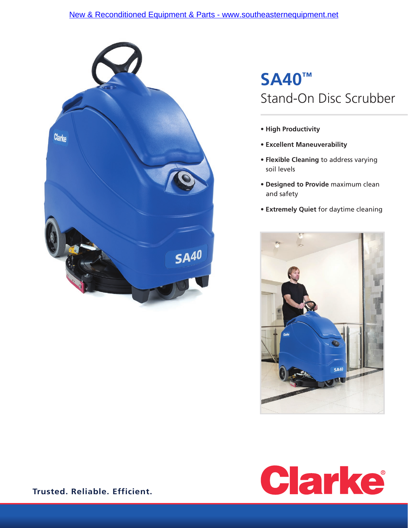### [New & Reconditioned Equipment & Parts - www.southeasternequipment.net](http://www.southeasternequipment.net)



# **SA40™** Stand-On Disc Scrubber

- **High Productivity**
- **Excellent Maneuverability**
- **Flexible Cleaning** to address varying soil levels
- **Designed to Provide** maximum clean and safety
- **Extremely Quiet** for daytime cleaning





**Trusted. Reliable. Efficient.**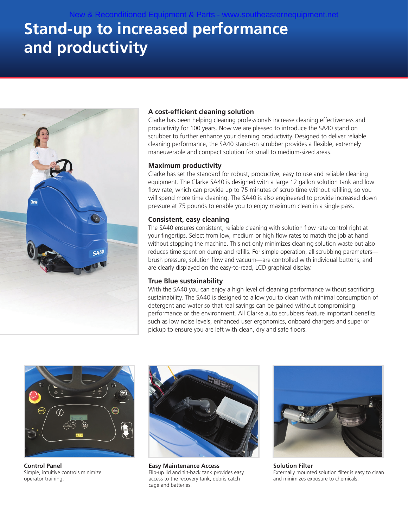# **Stand-up to increased performance and productivity**



### **A cost-efficient cleaning solution**

[New & Reconditioned Equipment & Parts - www.southeasternequipment.net](http://www.southeasternequipment.net)

Clarke has been helping cleaning professionals increase cleaning effectiveness and productivity for 100 years. Now we are pleased to introduce the SA40 stand on scrubber to further enhance your cleaning productivity. Designed to deliver reliable cleaning performance, the SA40 stand-on scrubber provides a flexible, extremely maneuverable and compact solution for small to medium-sized areas.

#### **Maximum productivity**

Clarke has set the standard for robust, productive, easy to use and reliable cleaning equipment. The Clarke SA40 is designed with a large 12 gallon solution tank and low flow rate, which can provide up to 75 minutes of scrub time without refilling, so you will spend more time cleaning. The SA40 is also engineered to provide increased down pressure at 75 pounds to enable you to enjoy maximum clean in a single pass.

#### **Consistent, easy cleaning**

The SA40 ensures consistent, reliable cleaning with solution flow rate control right at your fingertips. Select from low, medium or high flow rates to match the job at hand without stopping the machine. This not only minimizes cleaning solution waste but also reduces time spent on dump and refills. For simple operation, all scrubbing parameters brush pressure, solution flow and vacuum—are controlled with individual buttons, and are clearly displayed on the easy-to-read, LCD graphical display.

#### **True Blue sustainability**

With the SA40 you can enjoy a high level of cleaning performance without sacrificing sustainability. The SA40 is designed to allow you to clean with minimal consumption of detergent and water so that real savings can be gained without compromising performance or the environment. All Clarke auto scrubbers feature important benefits such as low noise levels, enhanced user ergonomics, onboard chargers and superior pickup to ensure you are left with clean, dry and safe floors.



**Control Panel** Simple, intuitive controls minimize operator training.



**Easy Maintenance Access** Flip-up lid and tilt-back tank provides easy access to the recovery tank, debris catch cage and batteries.



**Solution Filter** Externally mounted solution filter is easy to clean and minimizes exposure to chemicals.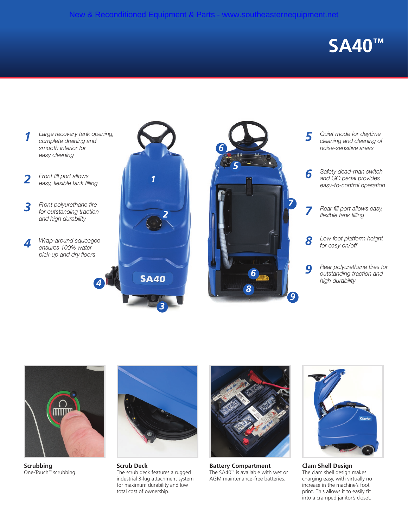# **SA40™**





**Scrubbing** One-Touch™ scrubbing.



**Scrub Deck** The scrub deck features a rugged industrial 3-lug attachment system for maximum durability and low total cost of ownership.



**Battery Compartment** The SA40™ is available with wet or AGM maintenance-free batteries.



**Clam Shell Design** The clam shell design makes charging easy, with virtually no increase in the machine's foot print. This allows it to easily fit into a cramped janitor's closet.